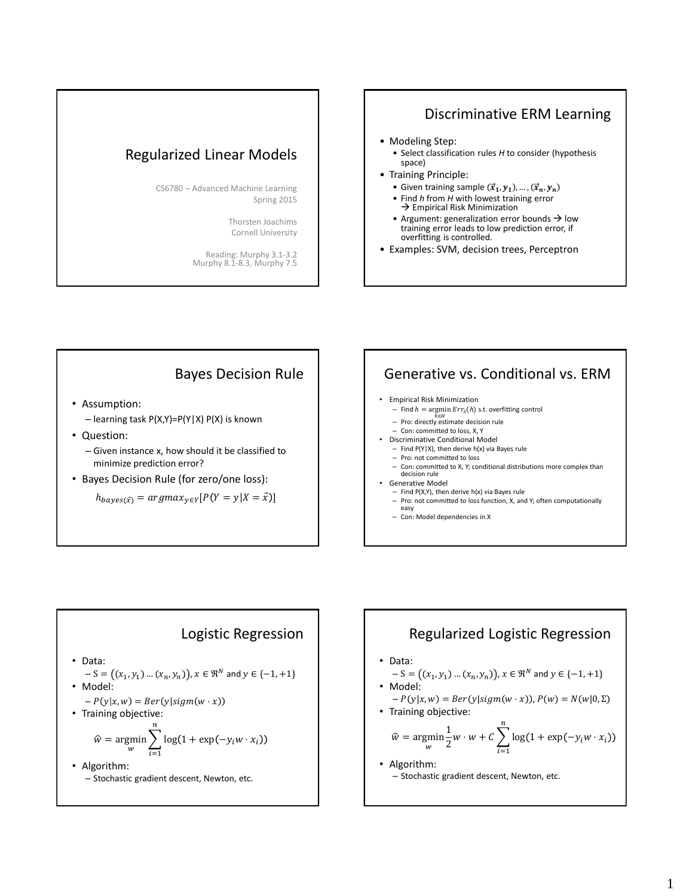### Regularized Linear Models

CS6780 – Advanced Machine Learning Spring 2015

> Thorsten Joachims Cornell University

Reading: Murphy 3.1-3.2 Murphy 8.1-8.3, Murphy 7.5

## Discriminative ERM Learning

- Modeling Step:
	- Select classification rules *H* to consider (hypothesis space)
- Training Principle:
	- Given training sample  $(\vec{x}_1, y_1), ..., (\vec{x}_n, y_n)$
	- Find *h* from *H* with lowest training error  $\rightarrow$  Empirical Risk Minimization
	- Argument: generalization error bounds  $\rightarrow$  low training error leads to low prediction error, if overfitting is controlled.
- Examples: SVM, decision trees, Perceptron

### Bayes Decision Rule

- Assumption:
	- learning task P(X,Y)=P(Y|X) P(X) is known
- Question:
	- Given instance x, how should it be classified to minimize prediction error?
- Bayes Decision Rule (for zero/one loss):

 $h_{bayes(\vec{x})} = argmax_{y \in Y} [P(Y = y | X = \vec{x})]$ 

### Generative vs. Conditional vs. ERM

#### • Empirical Risk Minimization

- $-$  Find  $h = \argmin Err<sub>S</sub>(h)$  s.t. overfitting control
- *h∈H*<br>
Pro: directly estimate decision rule
- Con: committed to loss, X, Y
- Discriminative Conditional Model
	- $-$  Find P(Y|X), then derive h(x) via Bayes rule – Pro: not committed to loss
- 
- Con: committed to X, Y; conditional distributions more complex than decision rule • Generative Model
	-
	- $-$  Find P(X,Y), then derive h(x) via Bayes rule – Pro: not committed to loss function, X, and Y; often computationally
	- easy – Con: Model dependencies in X

# Logistic Regression

- Data:
- $-S = ((x_1, y_1) ... (x_n, y_n)), x \in \mathbb{R}^N$  and  $y \in \{-1, +1\}$ • Model:
- $-P(y|x, w) = Ber(y|sigm(w \cdot x))$
- Training objective:

$$
\widehat{w} = \underset{w}{\text{argmin}} \sum_{i=1}^{n} \log(1 + \exp(-y_i w \cdot x_i))
$$

• Algorithm: – Stochastic gradient descent, Newton, etc.

### Regularized Logistic Regression • Data:  $-S = ((x_1, y_1) ... (x_n, y_n)), x \in \mathbb{R}^N$  and  $y \in \{-1, +1\}$ • Model:  $-P(y|x, w) = Ber(y|sigm(w \cdot x))$ ,  $P(w) = N(w|0, \Sigma)$ • Training objective: • Algorithm: – Stochastic gradient descent, Newton, etc.  $\widehat{w} = \underset{w}{\text{argmin}}$ 1  $\frac{1}{2}w \cdot w + C \sum \log(1 + \exp(-y_i w \cdot x_i)))$ n  $i=1$